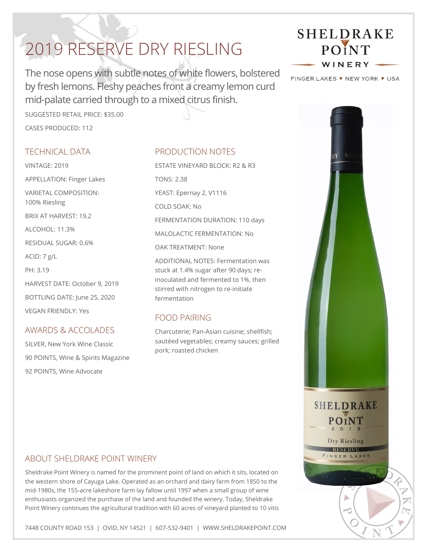# 2019 RESERVE DRY RIESLING

The nose opens with subtle notes of white flowers, bolstered by fresh lemons. Fleshy peaches front a creamy lemon curd mid-palate carried through to a mixed citrus finish.

SUGGESTED RETAIL PRICE: \$35.00 CASES PRODUCED: 112

### TECHNICAL DATA

VINTAGE: 2019 APPELLATION: Finger Lakes VARIETAL COMPOSITION: 100% Riesling BRIX AT HARVEST: 19.2  $AI$  COHOL: 11.3% RESIDUAL SUGAR: 0.6% ACID: 7 g/L PH: 3.19 HARVEST DATE: October 9, 2019 BOTTLING DATE: June 25, 2020 VEGAN FRIENDLY: Yes

## AWARDS & ACCOLADES

SILVER, New York Wine Classic 90 POINTS, Wine & Spirits Magazine 92 POINTS, Wine Advocate

### PRODUCTION NOTES

ESTATE VINEYARD BLOCK: R2 & R3 TONS: 2.38 YEAST: Epernay 2, V1116 COLD SOAK: No FERMENTATION DURATION: 110 days MALOLACTIC FERMENTATION: No OAK TREATMENT: None ADDITIONAL NOTES: Fermentation was

stuck at 1.4% sugar after 90 days; reinoculated and fermented to 1%, then stirred with nitrogen to re-initiate fermentation

### FOOD PAIRING

Charcuterie; Pan-Asian cuisine; shellfish; sautéed vegetables; creamy sauces; grilled pork; roasted chicken

#### ABOUT SHELDRAKE POINT WINERY

Sheldrake Point Winery is named for the prominent point of land on which it sits, located on the western shore of Cayuga Lake. Operated as an orchard and dairy farm from 1850 to the mid-1980s, the 155-acre lakeshore farm lay fallow until 1997 when a small group of wine enthusiasts organized the purchase of the land and founded the winery. Today, Sheldrake Point Winery continues the agricultural tradition with 60 acres of vineyard planted to 10 vitis

7448 COUNTY ROAD 153 | OVID, NY 14521 | 607-532-9401 | WWW.SHELDRAKEPOINT.COM



FINGER LAKES ▼ NEW YORK ▼ USA

**SHELDRAKE** 

POINT  $201$ Dry Riesling RESERVE FINGER LAKES

 $\overline{L}$